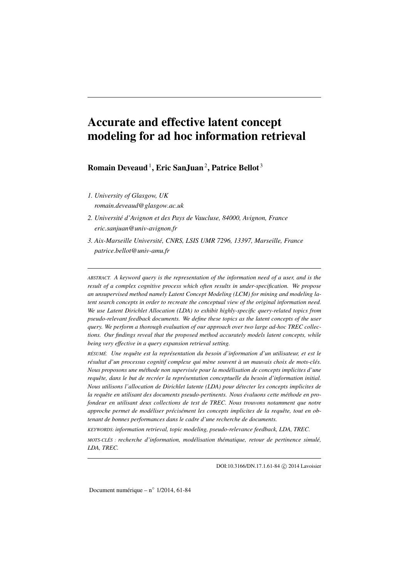# Accurate and effective latent concept modeling for ad hoc information retrieval

Romain Deveaud<sup>1</sup>, Eric SanJuan<sup>2</sup>, Patrice Bellot<sup>3</sup>

- *1. University of Glasgow, UK romain.deveaud@glasgow.ac.uk*
- *2. Université d'Avignon et des Pays de Vaucluse, 84000, Avignon, France eric.sanjuan@univ-avignon.fr*
- *3. Aix-Marseille Université, CNRS, LSIS UMR 7296, 13397, Marseille, France patrice.bellot@univ-amu.fr*

*ABSTRACT. A keyword query is the representation of the information need of a user, and is the result of a complex cognitive process which often results in under-specification. We propose an unsupervised method namely Latent Concept Modeling (LCM) for mining and modeling latent search concepts in order to recreate the conceptual view of the original information need. We use Latent Dirichlet Allocation (LDA) to exhibit highly-specific query-related topics from pseudo-relevant feedback documents. We define these topics as the latent concepts of the user query. We perform a thorough evaluation of our approach over two large ad-hoc TREC collections. Our findings reveal that the proposed method accurately models latent concepts, while being very effective in a query expansion retrieval setting.*

*RÉSUMÉ. Une requête est la représentation du besoin d'information d'un utilisateur, et est le résultat d'un processus cognitif complexe qui mène souvent à un mauvais choix de mots-clés. Nous proposons une méthode non supervisée pour la modélisation de concepts implicites d'une requête, dans le but de recréer la représentation conceptuelle du besoin d'information initial. Nous utilisons l'allocation de Dirichlet latente (LDA) pour détecter les concepts implicites de la requête en utilisant des documents pseudo-pertinents. Nous évaluons cette méthode en profondeur en utilisant deux collections de test de TREC. Nous trouvons notamment que notre approche permet de modéliser précisément les concepts implicites de la requête, tout en obtenant de bonnes performances dans le cadre d'une recherche de documents.*

*KEYWORDS: information retrieval, topic modeling, pseudo-relevance feedback, LDA, TREC.*

*MOTS-CLÉS : recherche d'information, modélisation thématique, retour de pertinence simulé, LDA, TREC.*

DOI:10.3166/DN.17.1.61-84 (c) 2014 Lavoisier

Document numérique –  $n^{\circ}$  1/2014, 61-84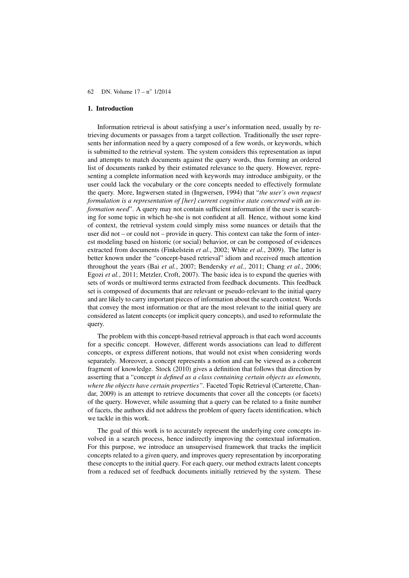## 1. Introduction

Information retrieval is about satisfying a user's information need, usually by retrieving documents or passages from a target collection. Traditionally the user represents her information need by a query composed of a few words, or keywords, which is submitted to the retrieval system. The system considers this representation as input and attempts to match documents against the query words, thus forming an ordered list of documents ranked by their estimated relevance to the query. However, representing a complete information need with keywords may introduce ambiguity, or the user could lack the vocabulary or the core concepts needed to effectively formulate the query. More, Ingwersen stated in (Ingwersen, 1994) that "*the user's own request formulation is a representation of [her] current cognitive state concerned with an information need*". A query may not contain sufficient information if the user is searching for some topic in which he-she is not confident at all. Hence, without some kind of context, the retrieval system could simply miss some nuances or details that the user did not – or could not – provide in query. This context can take the form of interest modeling based on historic (or social) behavior, or can be composed of evidences extracted from documents (Finkelstein *et al.*, 2002; White *et al.*, 2009). The latter is better known under the "concept-based retrieval" idiom and received much attention throughout the years (Bai *et al.*, 2007; Bendersky *et al.*, 2011; Chang *et al.*, 2006; Egozi *et al.*, 2011; Metzler, Croft, 2007). The basic idea is to expand the queries with sets of words or multiword terms extracted from feedback documents. This feedback set is composed of documents that are relevant or pseudo-relevant to the initial query and are likely to carry important pieces of information about the search context. Words that convey the most information or that are the most relevant to the initial query are considered as latent concepts (or implicit query concepts), and used to reformulate the query.

The problem with this concept-based retrieval approach is that each word accounts for a specific concept. However, different words associations can lead to different concepts, or express different notions, that would not exist when considering words separately. Moreover, a concept represents a notion and can be viewed as a coherent fragment of knowledge. Stock (2010) gives a definition that follows that direction by asserting that a "concept *is defined as a class containing certain objects as elements, where the objects have certain properties"*. Faceted Topic Retrieval (Carterette, Chandar, 2009) is an attempt to retrieve documents that cover all the concepts (or facets) of the query. However, while assuming that a query can be related to a finite number of facets, the authors did not address the problem of query facets identification, which we tackle in this work.

The goal of this work is to accurately represent the underlying core concepts involved in a search process, hence indirectly improving the contextual information. For this purpose, we introduce an unsupervised framework that tracks the implicit concepts related to a given query, and improves query representation by incorporating these concepts to the initial query. For each query, our method extracts latent concepts from a reduced set of feedback documents initially retrieved by the system. These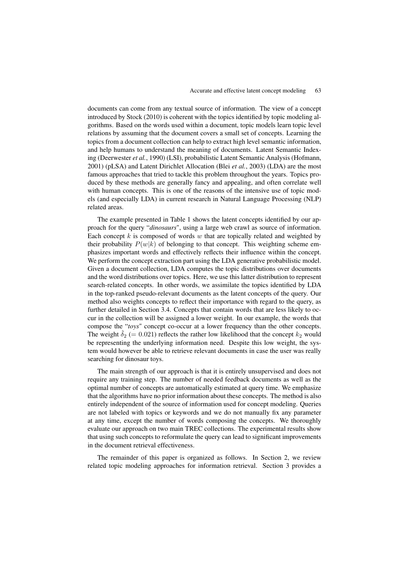documents can come from any textual source of information. The view of a concept introduced by Stock (2010) is coherent with the topics identified by topic modeling algorithms. Based on the words used within a document, topic models learn topic level relations by assuming that the document covers a small set of concepts. Learning the topics from a document collection can help to extract high level semantic information, and help humans to understand the meaning of documents. Latent Semantic Indexing (Deerwester *et al.*, 1990) (LSI), probabilistic Latent Semantic Analysis (Hofmann, 2001) (pLSA) and Latent Dirichlet Allocation (Blei *et al.*, 2003) (LDA) are the most famous approaches that tried to tackle this problem throughout the years. Topics produced by these methods are generally fancy and appealing, and often correlate well with human concepts. This is one of the reasons of the intensive use of topic models (and especially LDA) in current research in Natural Language Processing (NLP) related areas.

The example presented in Table 1 shows the latent concepts identified by our approach for the query "*dinosaurs*", using a large web crawl as source of information. Each concept  $k$  is composed of words  $w$  that are topically related and weighted by their probability  $P(w|k)$  of belonging to that concept. This weighting scheme emphasizes important words and effectively reflects their influence within the concept. We perform the concept extraction part using the LDA generative probabilistic model. Given a document collection, LDA computes the topic distributions over documents and the word distributions over topics. Here, we use this latter distribution to represent search-related concepts. In other words, we assimilate the topics identified by LDA in the top-ranked pseudo-relevant documents as the latent concepts of the query. Our method also weights concepts to reflect their importance with regard to the query, as further detailed in Section 3.4. Concepts that contain words that are less likely to occur in the collection will be assigned a lower weight. In our example, the words that compose the "*toys*" concept co-occur at a lower frequency than the other concepts. The weight  $\hat{\delta}_2$  (= 0.021) reflects the rather low likelihood that the concept  $k_2$  would be representing the underlying information need. Despite this low weight, the system would however be able to retrieve relevant documents in case the user was really searching for dinosaur toys.

The main strength of our approach is that it is entirely unsupervised and does not require any training step. The number of needed feedback documents as well as the optimal number of concepts are automatically estimated at query time. We emphasize that the algorithms have no prior information about these concepts. The method is also entirely independent of the source of information used for concept modeling. Queries are not labeled with topics or keywords and we do not manually fix any parameter at any time, except the number of words composing the concepts. We thoroughly evaluate our approach on two main TREC collections. The experimental results show that using such concepts to reformulate the query can lead to significant improvements in the document retrieval effectiveness.

The remainder of this paper is organized as follows. In Section 2, we review related topic modeling approaches for information retrieval. Section 3 provides a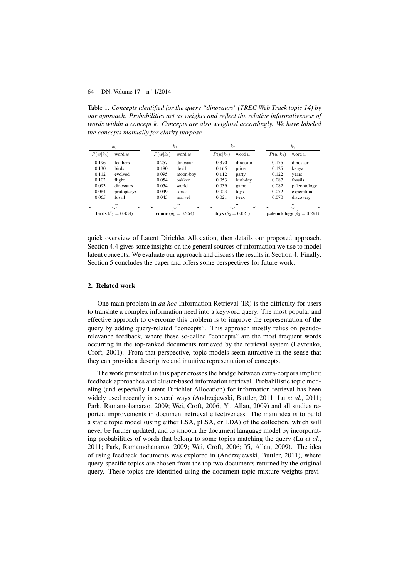Table 1. *Concepts identified for the query "dinosaurs" (TREC Web Track topic 14) by our approach. Probabilities act as weights and reflect the relative informativeness of words within a concept* k*. Concepts are also weighted accordingly. We have labeled the concepts manually for clarity purpose*

| $k_0$                             |             |                            | $k_1$    |                                  | $k_2$    |            | $k_3$                                      |  |
|-----------------------------------|-------------|----------------------------|----------|----------------------------------|----------|------------|--------------------------------------------|--|
| $P(w k_0)$                        | word $w$    | $P(w k_1)$                 | word $w$ | $P(w k_2)$                       | word $w$ | $P(w k_3)$ | word $w$                                   |  |
| 0.196                             | feathers    | 0.257                      | dinosaur | 0.370                            | dinosaur | 0.175      | dinosaur                                   |  |
| 0.130                             | birds       | 0.180                      | devil    | 0.165                            | price    | 0.125      | kenya                                      |  |
| 0.112                             | evolved     | 0.095                      | moon-boy | 0.112                            | party    | 0.122      | years                                      |  |
| 0.102                             | flight      | 0.054                      | bakker   | 0.053                            | birthday | 0.087      | fossils                                    |  |
| 0.093                             | dinosaurs   | 0.054                      | world    | 0.039                            | game     | 0.082      | paleontology                               |  |
| 0.084                             | protopteryx | 0.049                      | series   | 0.023                            | toys     | 0.072      | expedition                                 |  |
| 0.065                             | fossil      | 0.045                      | marvel   | 0.021                            | t-rex    | 0.070      | discovery                                  |  |
|                                   | $\cdots$    |                            | $\cdots$ |                                  | $\cdots$ |            | $\cdots$                                   |  |
| <b>birds</b> $(\delta_0 = 0.434)$ |             | comic $(\delta_1 = 0.254)$ |          | toys $(\ddot{\delta}_2 = 0.021)$ |          |            | <b>paleontology</b> ( $\delta_3 = 0.291$ ) |  |

quick overview of Latent Dirichlet Allocation, then details our proposed approach. Section 4.4 gives some insights on the general sources of information we use to model latent concepts. We evaluate our approach and discuss the results in Section 4. Finally, Section 5 concludes the paper and offers some perspectives for future work.

## 2. Related work

One main problem in *ad hoc* Information Retrieval (IR) is the difficulty for users to translate a complex information need into a keyword query. The most popular and effective approach to overcome this problem is to improve the representation of the query by adding query-related "concepts". This approach mostly relies on pseudorelevance feedback, where these so-called "concepts" are the most frequent words occurring in the top-ranked documents retrieved by the retrieval system (Lavrenko, Croft, 2001). From that perspective, topic models seem attractive in the sense that they can provide a descriptive and intuitive representation of concepts.

The work presented in this paper crosses the bridge between extra-corpora implicit feedback approaches and cluster-based information retrieval. Probabilistic topic modeling (and especially Latent Dirichlet Allocation) for information retrieval has been widely used recently in several ways (Andrzejewski, Buttler, 2011; Lu *et al.*, 2011; Park, Ramamohanarao, 2009; Wei, Croft, 2006; Yi, Allan, 2009) and all studies reported improvements in document retrieval effectiveness. The main idea is to build a static topic model (using either LSA, pLSA, or LDA) of the collection, which will never be further updated, and to smooth the document language model by incorporating probabilities of words that belong to some topics matching the query (Lu *et al.*, 2011; Park, Ramamohanarao, 2009; Wei, Croft, 2006; Yi, Allan, 2009). The idea of using feedback documents was explored in (Andrzejewski, Buttler, 2011), where query-specific topics are chosen from the top two documents returned by the original query. These topics are identified using the document-topic mixture weights previ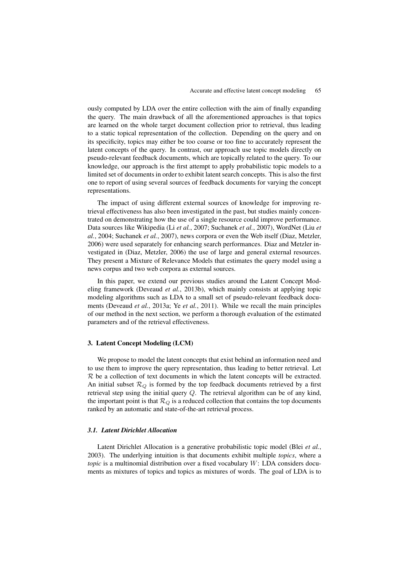ously computed by LDA over the entire collection with the aim of finally expanding the query. The main drawback of all the aforementioned approaches is that topics are learned on the whole target document collection prior to retrieval, thus leading to a static topical representation of the collection. Depending on the query and on its specificity, topics may either be too coarse or too fine to accurately represent the latent concepts of the query. In contrast, our approach use topic models directly on pseudo-relevant feedback documents, which are topically related to the query. To our knowledge, our approach is the first attempt to apply probabilistic topic models to a limited set of documents in order to exhibit latent search concepts. This is also the first one to report of using several sources of feedback documents for varying the concept representations.

The impact of using different external sources of knowledge for improving retrieval effectiveness has also been investigated in the past, but studies mainly concentrated on demonstrating how the use of a single resource could improve performance. Data sources like Wikipedia (Li *et al.*, 2007; Suchanek *et al.*, 2007), WordNet (Liu *et al.*, 2004; Suchanek *et al.*, 2007), news corpora or even the Web itself (Diaz, Metzler, 2006) were used separately for enhancing search performances. Diaz and Metzler investigated in (Diaz, Metzler, 2006) the use of large and general external resources. They present a Mixture of Relevance Models that estimates the query model using a news corpus and two web corpora as external sources.

In this paper, we extend our previous studies around the Latent Concept Modeling framework (Deveaud *et al.*, 2013b), which mainly consists at applying topic modeling algorithms such as LDA to a small set of pseudo-relevant feedback documents (Deveaud *et al.*, 2013a; Ye *et al.*, 2011). While we recall the main principles of our method in the next section, we perform a thorough evaluation of the estimated parameters and of the retrieval effectiveness.

## 3. Latent Concept Modeling (LCM)

We propose to model the latent concepts that exist behind an information need and to use them to improve the query representation, thus leading to better retrieval. Let R be a collection of text documents in which the latent concepts will be extracted. An initial subset  $\mathcal{R}_O$  is formed by the top feedback documents retrieved by a first retrieval step using the initial query Q. The retrieval algorithm can be of any kind, the important point is that  $\mathcal{R}_Q$  is a reduced collection that contains the top documents ranked by an automatic and state-of-the-art retrieval process.

#### *3.1. Latent Dirichlet Allocation*

Latent Dirichlet Allocation is a generative probabilistic topic model (Blei *et al.*, 2003). The underlying intuition is that documents exhibit multiple *topics*, where a *topic* is a multinomial distribution over a fixed vocabulary W: LDA considers documents as mixtures of topics and topics as mixtures of words. The goal of LDA is to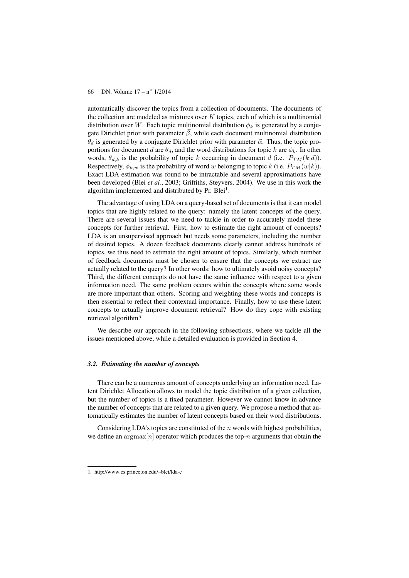automatically discover the topics from a collection of documents. The documents of the collection are modeled as mixtures over  $K$  topics, each of which is a multinomial distribution over W. Each topic multinomial distribution  $\phi_k$  is generated by a conjugate Dirichlet prior with parameter  $\vec{\beta}$ , while each document multinomial distribution  $\theta_d$  is generated by a conjugate Dirichlet prior with parameter  $\vec{\alpha}$ . Thus, the topic proportions for document d are  $\theta_d$ , and the word distributions for topic k are  $\phi_k$ . In other words,  $\theta_{d,k}$  is the probability of topic k occurring in document d (i.e.  $P_{TM}(k|d)$ ). Respectively,  $\phi_{k,w}$  is the probability of word w belonging to topic k (i.e.  $P_{TM}(w|k)$ ). Exact LDA estimation was found to be intractable and several approximations have been developed (Blei *et al.*, 2003; Griffiths, Steyvers, 2004). We use in this work the algorithm implemented and distributed by Pr. Blei<sup>1</sup>.

The advantage of using LDA on a query-based set of documents is that it can model topics that are highly related to the query: namely the latent concepts of the query. There are several issues that we need to tackle in order to accurately model these concepts for further retrieval. First, how to estimate the right amount of concepts? LDA is an unsupervised approach but needs some parameters, including the number of desired topics. A dozen feedback documents clearly cannot address hundreds of topics, we thus need to estimate the right amount of topics. Similarly, which number of feedback documents must be chosen to ensure that the concepts we extract are actually related to the query? In other words: how to ultimately avoid noisy concepts? Third, the different concepts do not have the same influence with respect to a given information need. The same problem occurs within the concepts where some words are more important than others. Scoring and weighting these words and concepts is then essential to reflect their contextual importance. Finally, how to use these latent concepts to actually improve document retrieval? How do they cope with existing retrieval algorithm?

We describe our approach in the following subsections, where we tackle all the issues mentioned above, while a detailed evaluation is provided in Section 4.

### *3.2. Estimating the number of concepts*

There can be a numerous amount of concepts underlying an information need. Latent Dirichlet Allocation allows to model the topic distribution of a given collection, but the number of topics is a fixed parameter. However we cannot know in advance the number of concepts that are related to a given query. We propose a method that automatically estimates the number of latent concepts based on their word distributions.

Considering LDA's topics are constituted of the  $n$  words with highest probabilities, we define an  $\arg \max[n]$  operator which produces the top-n arguments that obtain the

<sup>1.</sup> http://www.cs.princeton.edu/~blei/lda-c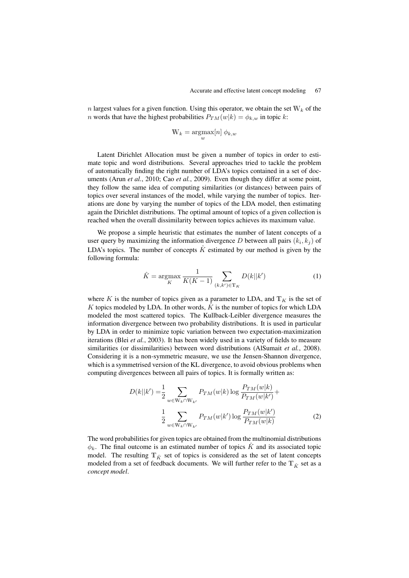n largest values for a given function. Using this operator, we obtain the set  $W_k$  of the *n* words that have the highest probabilities  $P_{TM}(w|k) = \phi_{k,w}$  in topic k:

$$
\mathbb{W}_k = \operatornamewithlimits{argmax}_w[n]\: \phi_{k,w}
$$

Latent Dirichlet Allocation must be given a number of topics in order to estimate topic and word distributions. Several approaches tried to tackle the problem of automatically finding the right number of LDA's topics contained in a set of documents (Arun *et al.*, 2010; Cao *et al.*, 2009). Even though they differ at some point, they follow the same idea of computing similarities (or distances) between pairs of topics over several instances of the model, while varying the number of topics. Iterations are done by varying the number of topics of the LDA model, then estimating again the Dirichlet distributions. The optimal amount of topics of a given collection is reached when the overall dissimilarity between topics achieves its maximum value.

We propose a simple heuristic that estimates the number of latent concepts of a user query by maximizing the information divergence D between all pairs  $(k_i, k_j)$  of LDA's topics. The number of concepts  $\tilde{K}$  estimated by our method is given by the following formula:

$$
\hat{K} = \underset{K}{\text{argmax}} \frac{1}{K(K-1)} \sum_{(k,k') \in \mathbb{T}_K} D(k||k') \tag{1}
$$

where K is the number of topics given as a parameter to LDA, and  $\mathbb{T}_K$  is the set of K topics modeled by LDA. In other words,  $\hat{K}$  is the number of topics for which LDA modeled the most scattered topics. The Kullback-Leibler divergence measures the information divergence between two probability distributions. It is used in particular by LDA in order to minimize topic variation between two expectation-maximization iterations (Blei *et al.*, 2003). It has been widely used in a variety of fields to measure similarities (or dissimilarities) between word distributions (AlSumait *et al.*, 2008). Considering it is a non-symmetric measure, we use the Jensen-Shannon divergence, which is a symmetrised version of the KL divergence, to avoid obvious problems when computing divergences between all pairs of topics. It is formally written as:

$$
D(k||k') = \frac{1}{2} \sum_{w \in W_k \cap W_{k'}} P_{TM}(w|k) \log \frac{P_{TM}(w|k)}{P_{TM}(w|k')} + \frac{1}{2} \sum_{w \in W_k \cap W_{k'}} P_{TM}(w|k') \log \frac{P_{TM}(w|k')}{P_{TM}(w|k)}
$$
(2)

The word probabilities for given topics are obtained from the multinomial distributions  $\phi_k$ . The final outcome is an estimated number of topics  $\hat{K}$  and its associated topic model. The resulting  $\mathbb{T}_{\hat{K}}$  set of topics is considered as the set of latent concepts modeled from a set of feedback documents. We will further refer to the  $\mathbb{T}_{\hat{K}}$  set as a *concept model*.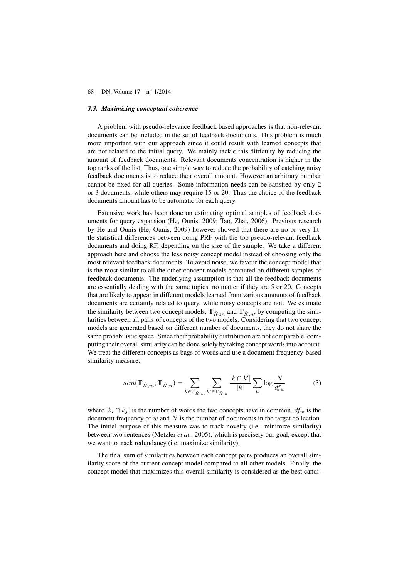## *3.3. Maximizing conceptual coherence*

A problem with pseudo-relevance feedback based approaches is that non-relevant documents can be included in the set of feedback documents. This problem is much more important with our approach since it could result with learned concepts that are not related to the initial query. We mainly tackle this difficulty by reducing the amount of feedback documents. Relevant documents concentration is higher in the top ranks of the list. Thus, one simple way to reduce the probability of catching noisy feedback documents is to reduce their overall amount. However an arbitrary number cannot be fixed for all queries. Some information needs can be satisfied by only 2 or 3 documents, while others may require 15 or 20. Thus the choice of the feedback documents amount has to be automatic for each query.

Extensive work has been done on estimating optimal samples of feedback documents for query expansion (He, Ounis, 2009; Tao, Zhai, 2006). Previous research by He and Ounis (He, Ounis, 2009) however showed that there are no or very little statistical differences between doing PRF with the top pseudo-relevant feedback documents and doing RF, depending on the size of the sample. We take a different approach here and choose the less noisy concept model instead of choosing only the most relevant feedback documents. To avoid noise, we favour the concept model that is the most similar to all the other concept models computed on different samples of feedback documents. The underlying assumption is that all the feedback documents are essentially dealing with the same topics, no matter if they are 5 or 20. Concepts that are likely to appear in different models learned from various amounts of feedback documents are certainly related to query, while noisy concepts are not. We estimate the similarity between two concept models,  $T_{\hat{K},m}$  and  $T_{\hat{K},n}$ , by computing the similarities between all pairs of concepts of the two models. Considering that two concept models are generated based on different number of documents, they do not share the same probabilistic space. Since their probability distribution are not comparable, computing their overall similarity can be done solely by taking concept words into account. We treat the different concepts as bags of words and use a document frequency-based similarity measure:

$$
sim(\mathbb{T}_{\hat{K},m}, \mathbb{T}_{\hat{K},n}) = \sum_{k \in \mathbb{T}_{\hat{K},m}} \sum_{k' \in \mathbb{T}_{\hat{K},n}} \frac{|k \cap k'|}{|k|} \sum_{w} \log \frac{N}{df_w}
$$
(3)

where  $|k_i \cap k_j|$  is the number of words the two concepts have in common,  $df_w$  is the document frequency of  $w$  and  $N$  is the number of documents in the target collection. The initial purpose of this measure was to track novelty (i.e. minimize similarity) between two sentences (Metzler *et al.*, 2005), which is precisely our goal, except that we want to track redundancy (i.e. maximize similarity).

The final sum of similarities between each concept pairs produces an overall similarity score of the current concept model compared to all other models. Finally, the concept model that maximizes this overall similarity is considered as the best candi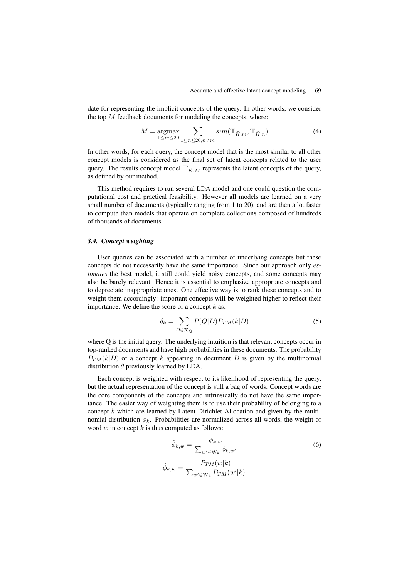date for representing the implicit concepts of the query. In other words, we consider the top  $M$  feedback documents for modeling the concepts, where:

$$
M = \underset{1 \le m \le 20}{\operatorname{argmax}} \sum_{1 \le n \le 20, n \ne m} sim(\mathbb{T}_{\hat{K},m}, \mathbb{T}_{\hat{K},n})
$$
(4)

In other words, for each query, the concept model that is the most similar to all other concept models is considered as the final set of latent concepts related to the user query. The results concept model  $T_{\hat{K},M}$  represents the latent concepts of the query, as defined by our method.

This method requires to run several LDA model and one could question the computational cost and practical feasibility. However all models are learned on a very small number of documents (typically ranging from 1 to 20), and are then a lot faster to compute than models that operate on complete collections composed of hundreds of thousands of documents.

## *3.4. Concept weighting*

User queries can be associated with a number of underlying concepts but these concepts do not necessarily have the same importance. Since our approach only *estimates* the best model, it still could yield noisy concepts, and some concepts may also be barely relevant. Hence it is essential to emphasize appropriate concepts and to depreciate inappropriate ones. One effective way is to rank these concepts and to weight them accordingly: important concepts will be weighted higher to reflect their importance. We define the score of a concept  $k$  as:

$$
\delta_k = \sum_{D \in \mathcal{R}_Q} P(Q|D) P_{TM}(k|D) \tag{5}
$$

where Q is the initial query. The underlying intuition is that relevant concepts occur in top-ranked documents and have high probabilities in these documents. The probability  $P_{TM}(k|D)$  of a concept k appearing in document D is given by the multinomial distribution  $\theta$  previously learned by LDA.

Each concept is weighted with respect to its likelihood of representing the query, but the actual representation of the concept is still a bag of words. Concept words are the core components of the concepts and intrinsically do not have the same importance. The easier way of weighting them is to use their probability of belonging to a concept k which are learned by Latent Dirichlet Allocation and given by the multinomial distribution  $\phi_k$ . Probabilities are normalized across all words, the weight of word  $w$  in concept  $k$  is thus computed as follows:

$$
\hat{\phi}_{k,w} = \frac{\phi_{k,w}}{\sum_{w' \in \mathcal{W}_k} \phi_{k,w'}}\n\hat{\phi}_{k,w} = \frac{P_{TM}(w|k)}{\sum_{w' \in \mathcal{W}_k} P_{TM}(w'|k)}
$$
\n(6)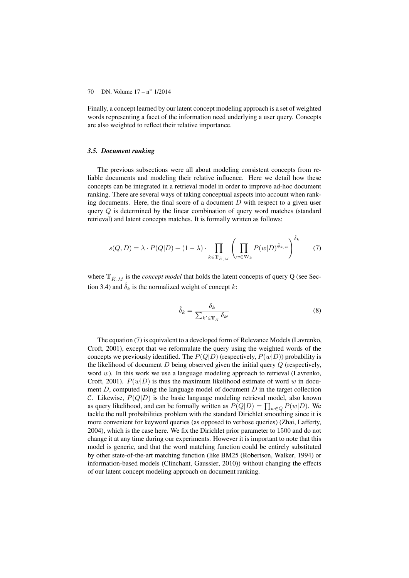Finally, a concept learned by our latent concept modeling approach is a set of weighted words representing a facet of the information need underlying a user query. Concepts are also weighted to reflect their relative importance.

#### *3.5. Document ranking*

The previous subsections were all about modeling consistent concepts from reliable documents and modeling their relative influence. Here we detail how these concepts can be integrated in a retrieval model in order to improve ad-hoc document ranking. There are several ways of taking conceptual aspects into account when ranking documents. Here, the final score of a document  $D$  with respect to a given user query Q is determined by the linear combination of query word matches (standard retrieval) and latent concepts matches. It is formally written as follows:

$$
s(Q, D) = \lambda \cdot P(Q|D) + (1 - \lambda) \cdot \prod_{k \in \mathbb{T}_{\hat{K},M}} \left( \prod_{w \in \mathbb{W}_k} P(w|D)^{\hat{\phi}_{k,w}} \right)^{\hat{\delta}_k} \tag{7}
$$

where  $\mathbb{T}_{\hat{K},M}$  is the *concept model* that holds the latent concepts of query Q (see Section 3.4) and  $\delta_k$  is the normalized weight of concept k:

$$
\hat{\delta}_k = \frac{\delta_k}{\sum_{k' \in \mathbb{T}_{\hat{K}}} \delta_{k'}}\tag{8}
$$

The equation (7) is equivalent to a developed form of Relevance Models (Lavrenko, Croft, 2001), except that we reformulate the query using the weighted words of the concepts we previously identified. The  $P(Q|D)$  (respectively,  $P(w|D)$ ) probability is the likelihood of document  $D$  being observed given the initial query  $Q$  (respectively, word  $w$ ). In this work we use a language modeling approach to retrieval (Lavrenko, Croft, 2001).  $P(w|D)$  is thus the maximum likelihood estimate of word w in document  $D$ , computed using the language model of document  $D$  in the target collection C. Likewise,  $P(Q|D)$  is the basic language modeling retrieval model, also known as query likelihood, and can be formally written as  $P(Q|D) = \prod_{w \in Q} P(w|D)$ . We tackle the null probabilities problem with the standard Dirichlet smoothing since it is more convenient for keyword queries (as opposed to verbose queries) (Zhai, Lafferty, 2004), which is the case here. We fix the Dirichlet prior parameter to 1500 and do not change it at any time during our experiments. However it is important to note that this model is generic, and that the word matching function could be entirely substituted by other state-of-the-art matching function (like BM25 (Robertson, Walker, 1994) or information-based models (Clinchant, Gaussier, 2010)) without changing the effects of our latent concept modeling approach on document ranking.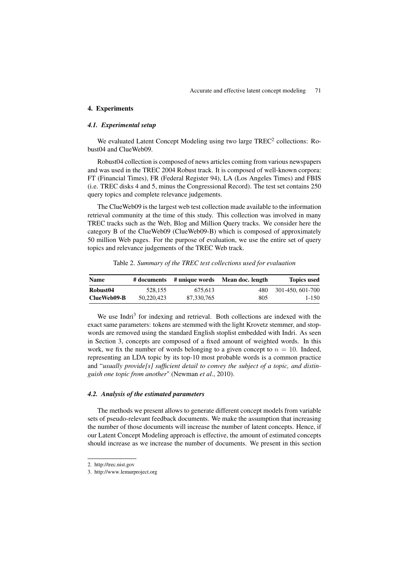#### 4. Experiments

## *4.1. Experimental setup*

We evaluated Latent Concept Modeling using two large  $TREC^2$  collections: Robust04 and ClueWeb09.

Robust04 collection is composed of news articles coming from various newspapers and was used in the TREC 2004 Robust track. It is composed of well-known corpora: FT (Financial Times), FR (Federal Register 94), LA (Los Angeles Times) and FBIS (i.e. TREC disks 4 and 5, minus the Congressional Record). The test set contains 250 query topics and complete relevance judgements.

The ClueWeb09 is the largest web test collection made available to the information retrieval community at the time of this study. This collection was involved in many TREC tracks such as the Web, Blog and Million Query tracks. We consider here the category B of the ClueWeb09 (ClueWeb09-B) which is composed of approximately 50 million Web pages. For the purpose of evaluation, we use the entire set of query topics and relevance judgements of the TREC Web track.

Table 2. *Summary of the TREC test collections used for evaluation*

| <b>Name</b> |            | # documents # unique words | Mean doc. length | <b>Topics used</b> |
|-------------|------------|----------------------------|------------------|--------------------|
| Robust04    | 528,155    | 675.613                    | 480              | 301-450, 601-700   |
| ClueWeb09-B | 50.220.423 | 87,330,765                 | 805              | $1 - 150$          |

We use Indri<sup>3</sup> for indexing and retrieval. Both collections are indexed with the exact same parameters: tokens are stemmed with the light Krovetz stemmer, and stopwords are removed using the standard English stoplist embedded with Indri. As seen in Section 3, concepts are composed of a fixed amount of weighted words. In this work, we fix the number of words belonging to a given concept to  $n = 10$ . Indeed, representing an LDA topic by its top-10 most probable words is a common practice and "*usually provide[s] sufficient detail to convey the subject of a topic, and distinguish one topic from another*" (Newman *et al.*, 2010).

## *4.2. Analysis of the estimated parameters*

The methods we present allows to generate different concept models from variable sets of pseudo-relevant feedback documents. We make the assumption that increasing the number of those documents will increase the number of latent concepts. Hence, if our Latent Concept Modeling approach is effective, the amount of estimated concepts should increase as we increase the number of documents. We present in this section

<sup>2.</sup> http://trec.nist.gov

<sup>3.</sup> http://www.lemurproject.org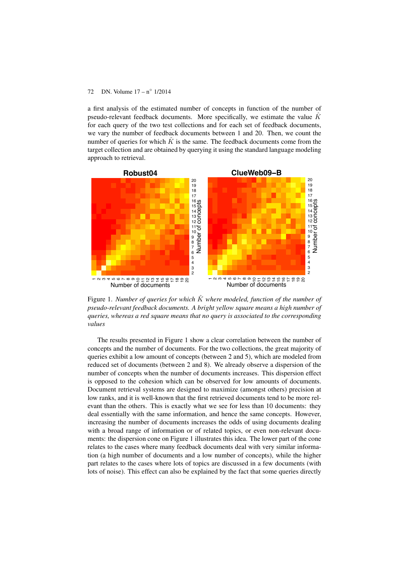a first analysis of the estimated number of concepts in function of the number of pseudo-relevant feedback documents. More specifically, we estimate the value  $\hat{K}$ for each query of the two test collections and for each set of feedback documents, we vary the number of feedback documents between 1 and 20. Then, we count the number of queries for which  $\hat{K}$  is the same. The feedback documents come from the target collection and are obtained by querying it using the standard language modeling approach to retrieval.



Figure 1. *Number of queries for which*  $\hat{K}$  *where modeled, function of the number of pseudo-relevant feedback documents. A bright yellow square means a high number of queries, whereas a red square means that no query is associated to the corresponding values*

The results presented in Figure 1 show a clear correlation between the number of concepts and the number of documents. For the two collections, the great majority of queries exhibit a low amount of concepts (between 2 and 5), which are modeled from reduced set of documents (between 2 and 8). We already observe a dispersion of the number of concepts when the number of documents increases. This dispersion effect is opposed to the cohesion which can be observed for low amounts of documents. Document retrieval systems are designed to maximize (amongst others) precision at low ranks, and it is well-known that the first retrieved documents tend to be more relevant than the others. This is exactly what we see for less than 10 documents: they deal essentially with the same information, and hence the same concepts. However, increasing the number of documents increases the odds of using documents dealing with a broad range of information or of related topics, or even non-relevant documents: the dispersion cone on Figure 1 illustrates this idea. The lower part of the cone relates to the cases where many feedback documents deal with very similar information (a high number of documents and a low number of concepts), while the higher part relates to the cases where lots of topics are discussed in a few documents (with lots of noise). This effect can also be explained by the fact that some queries directly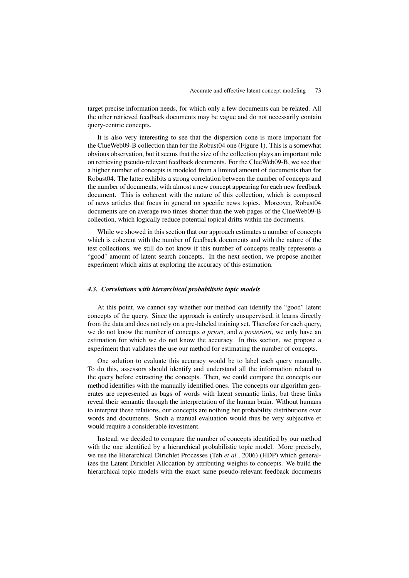target precise information needs, for which only a few documents can be related. All the other retrieved feedback documents may be vague and do not necessarily contain query-centric concepts.

It is also very interesting to see that the dispersion cone is more important for the ClueWeb09-B collection than for the Robust04 one (Figure 1). This is a somewhat obvious observation, but it seems that the size of the collection plays an important role on retrieving pseudo-relevant feedback documents. For the ClueWeb09-B, we see that a higher number of concepts is modeled from a limited amount of documents than for Robust04. The latter exhibits a strong correlation between the number of concepts and the number of documents, with almost a new concept appearing for each new feedback document. This is coherent with the nature of this collection, which is composed of news articles that focus in general on specific news topics. Moreover, Robust04 documents are on average two times shorter than the web pages of the ClueWeb09-B collection, which logically reduce potential topical drifts within the documents.

While we showed in this section that our approach estimates a number of concepts which is coherent with the number of feedback documents and with the nature of the test collections, we still do not know if this number of concepts really represents a "good" amount of latent search concepts. In the next section, we propose another experiment which aims at exploring the accuracy of this estimation.

# *4.3. Correlations with hierarchical probabilistic topic models*

At this point, we cannot say whether our method can identify the "good" latent concepts of the query. Since the approach is entirely unsupervised, it learns directly from the data and does not rely on a pre-labeled training set. Therefore for each query, we do not know the number of concepts *a priori*, and *a posteriori*, we only have an estimation for which we do not know the accuracy. In this section, we propose a experiment that validates the use our method for estimating the number of concepts.

One solution to evaluate this accuracy would be to label each query manually. To do this, assessors should identify and understand all the information related to the query before extracting the concepts. Then, we could compare the concepts our method identifies with the manually identified ones. The concepts our algorithm generates are represented as bags of words with latent semantic links, but these links reveal their semantic through the interpretation of the human brain. Without humans to interpret these relations, our concepts are nothing but probability distributions over words and documents. Such a manual evaluation would thus be very subjective et would require a considerable investment.

Instead, we decided to compare the number of concepts identified by our method with the one identified by a hierarchical probabilistic topic model. More precisely, we use the Hierarchical Dirichlet Processes (Teh *et al.*, 2006) (HDP) which generalizes the Latent Dirichlet Allocation by attributing weights to concepts. We build the hierarchical topic models with the exact same pseudo-relevant feedback documents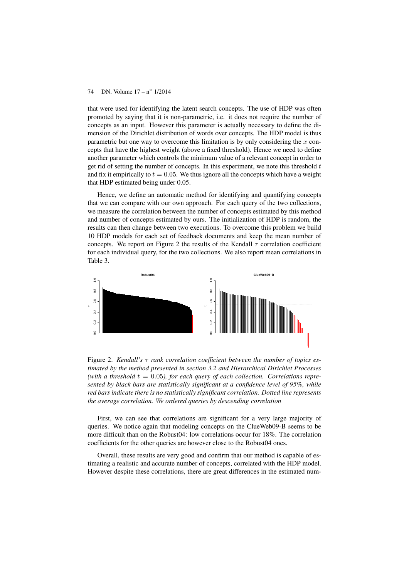that were used for identifying the latent search concepts. The use of HDP was often promoted by saying that it is non-parametric, i.e. it does not require the number of concepts as an input. However this parameter is actually necessary to define the dimension of the Dirichlet distribution of words over concepts. The HDP model is thus parametric but one way to overcome this limitation is by only considering the  $x$  concepts that have the highest weight (above a fixed threshold). Hence we need to define another parameter which controls the minimum value of a relevant concept in order to get rid of setting the number of concepts. In this experiment, we note this threshold  $t$ and fix it empirically to  $t = 0.05$ . We thus ignore all the concepts which have a weight that HDP estimated being under 0.05.

Hence, we define an automatic method for identifying and quantifying concepts that we can compare with our own approach. For each query of the two collections, we measure the correlation between the number of concepts estimated by this method and number of concepts estimated by ours. The initialization of HDP is random, the results can then change between two executions. To overcome this problem we build 10 HDP models for each set of feedback documents and keep the mean number of concepts. We report on Figure 2 the results of the Kendall  $\tau$  correlation coefficient for each individual query, for the two collections. We also report mean correlations in Table 3.



Figure 2. *Kendall's* τ *rank correlation coefficient between the number of topics estimated by the method presented in section 3.2 and Hierarchical Dirichlet Processes* (with a threshold  $t = 0.05$ ), for each query of each collection. Correlations repre*sented by black bars are statistically significant at a confidence level of 95%, while red bars indicate there is no statistically significant correlation. Dotted line represents the average correlation. We ordered queries by descending correlation*

First, we can see that correlations are significant for a very large majority of queries. We notice again that modeling concepts on the ClueWeb09-B seems to be more difficult than on the Robust04: low correlations occur for 18%. The correlation coefficients for the other queries are however close to the Robust04 ones.

Overall, these results are very good and confirm that our method is capable of estimating a realistic and accurate number of concepts, correlated with the HDP model. However despite these correlations, there are great differences in the estimated num-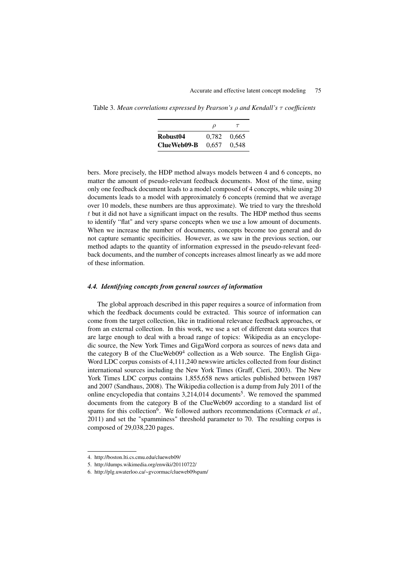Table 3. *Mean correlations expressed by Pearson's* ρ *and Kendall's* τ *coefficients*

|                      | ρ     | $\tau$ |
|----------------------|-------|--------|
| Robust <sub>04</sub> | 0.782 | 0.665  |
| ClueWeb09-B          | 0.657 | 0.548  |

bers. More precisely, the HDP method always models between 4 and 6 concepts, no matter the amount of pseudo-relevant feedback documents. Most of the time, using only one feedback document leads to a model composed of 4 concepts, while using 20 documents leads to a model with approximately 6 concepts (remind that we average over 10 models, these numbers are thus approximate). We tried to vary the threshold  $t$  but it did not have a significant impact on the results. The HDP method thus seems to identify "flat" and very sparse concepts when we use a low amount of documents. When we increase the number of documents, concepts become too general and do not capture semantic specificities. However, as we saw in the previous section, our method adapts to the quantity of information expressed in the pseudo-relevant feedback documents, and the number of concepts increases almost linearly as we add more of these information.

#### *4.4. Identifying concepts from general sources of information*

The global approach described in this paper requires a source of information from which the feedback documents could be extracted. This source of information can come from the target collection, like in traditional relevance feedback approaches, or from an external collection. In this work, we use a set of different data sources that are large enough to deal with a broad range of topics: Wikipedia as an encyclopedic source, the New York Times and GigaWord corpora as sources of news data and the category B of the ClueWeb09<sup>4</sup> collection as a Web source. The English Giga-Word LDC corpus consists of 4,111,240 newswire articles collected from four distinct international sources including the New York Times (Graff, Cieri, 2003). The New York Times LDC corpus contains 1,855,658 news articles published between 1987 and 2007 (Sandhaus, 2008). The Wikipedia collection is a dump from July 2011 of the online encyclopedia that contains 3,214,014 documents<sup>5</sup>. We removed the spammed documents from the category B of the ClueWeb09 according to a standard list of spams for this collection<sup>6</sup>. We followed authors recommendations (Cormack *et al.*, 2011) and set the "spamminess" threshold parameter to 70. The resulting corpus is composed of 29,038,220 pages.

<sup>4.</sup> http://boston.lti.cs.cmu.edu/clueweb09/

<sup>5.</sup> http://dumps.wikimedia.org/enwiki/20110722/

<sup>6.</sup> http://plg.uwaterloo.ca/~gvcormac/clueweb09spam/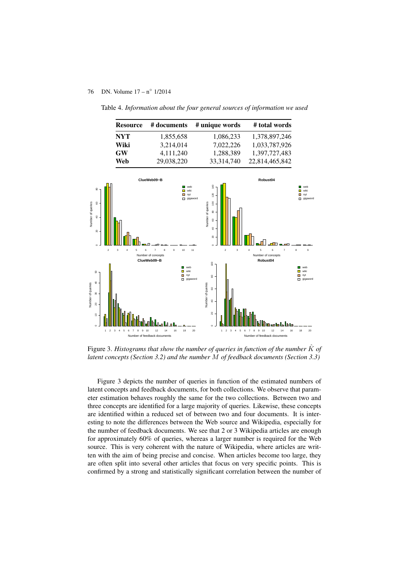

Table 4. *Information about the four general sources of information we used*

Figure 3. *Histograms that show the number of queries in function of the number*  $\hat{K}$  *of latent concepts (Section 3.2) and the number* M *of feedback documents (Section 3.3)*

Figure 3 depicts the number of queries in function of the estimated numbers of latent concepts and feedback documents, for both collections. We observe that parameter estimation behaves roughly the same for the two collections. Between two and three concepts are identified for a large majority of queries. Likewise, these concepts are identified within a reduced set of between two and four documents. It is interesting to note the differences between the Web source and Wikipedia, especially for the number of feedback documents. We see that 2 or 3 Wikipedia articles are enough for approximately 60% of queries, whereas a larger number is required for the Web source. This is very coherent with the nature of Wikipedia, where articles are written with the aim of being precise and concise. When articles become too large, they are often split into several other articles that focus on very specific points. This is confirmed by a strong and statistically significant correlation between the number of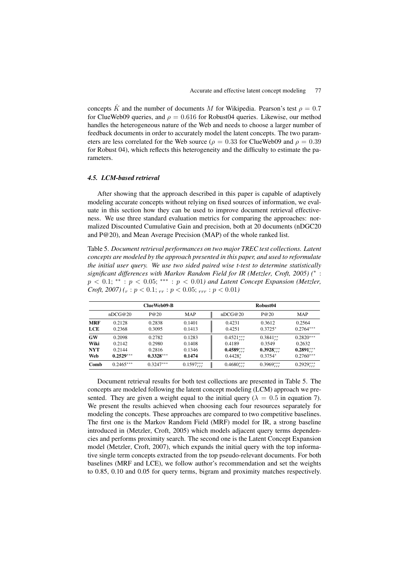concepts  $\hat{K}$  and the number of documents M for Wikipedia. Pearson's test  $\rho = 0.7$ for ClueWeb09 queries, and  $\rho = 0.616$  for Robust04 queries. Likewise, our method handles the heterogeneous nature of the Web and needs to choose a larger number of feedback documents in order to accurately model the latent concepts. The two parameters are less correlated for the Web source ( $\rho = 0.33$  for ClueWeb09 and  $\rho = 0.39$ for Robust 04), which reflects this heterogeneity and the difficulty to estimate the parameters.

# *4.5. LCM-based retrieval*

After showing that the approach described in this paper is capable of adaptively modeling accurate concepts without relying on fixed sources of information, we evaluate in this section how they can be used to improve document retrieval effectiveness. We use three standard evaluation metrics for comparing the approaches: normalized Discounted Cumulative Gain and precision, both at 20 documents (nDGC20 and P@20), and Mean Average Precision (MAP) of the whole ranked list.

Table 5. *Document retrieval performances on two major TREC test collections. Latent concepts are modeled by the approach presented in this paper, and used to reformulate the initial user query. We use two sided paired wise t-test to determine statistically significant differences with Markov Random Field for IR (Metzler, Croft, 2005) (*<sup>∗</sup> : p < 0.1; ∗∗ : p < 0.05; ∗∗∗ : p < 0.01*) and Latent Concept Expansion (Metzler, Croft, 2007*)  $(r : p < 0.1; r = r : p < 0.05; r = r : p < 0.01)$ 

|                                        | ClueWeb09-B                               |                                           |                                      |                                                                      | Robust04                                                          |                                                     |  |  |
|----------------------------------------|-------------------------------------------|-------------------------------------------|--------------------------------------|----------------------------------------------------------------------|-------------------------------------------------------------------|-----------------------------------------------------|--|--|
|                                        | nDCG@20                                   | P@20                                      | MAP                                  | nDCG@20                                                              | P@20                                                              | MAP                                                 |  |  |
| <b>MRF</b><br>LCE                      | 0.2128<br>0.2368                          | 0.2838<br>0.3095                          | 0.1401<br>0.1413                     | 0.4231<br>0.4251                                                     | 0.3612<br>$0.3725*$                                               | 0.2564<br>$0.2764***$                               |  |  |
| <b>GW</b><br>Wiki<br><b>NYT</b><br>Web | 0.2098<br>0.2142<br>0.2144<br>$0.2529***$ | 0.2782<br>0.2980<br>0.2816<br>$0.3328***$ | 0.1283<br>0.1408<br>0.1346<br>0.1474 | $0.4521_{xxx}^{***}$<br>0.4189<br>$0.4589^{***}_{rrr}$<br>$0.4428^*$ | $0.3841_{xx}^{**}$<br>0.3549<br>$0.3928^{***}_{rrr}$<br>$0.3754*$ | $0.2820***$<br>0.2632<br>$0.2891***$<br>$0.2760***$ |  |  |
| Comb                                   | $0.2465***$                               | $0.3247***$                               | $0.1597_{rrr}^{***}$                 | $0.4680_{rrr}^{***}$                                                 | $0.3969_{rrr}^{***}$                                              | $0.2929_{rrr}^{***}$                                |  |  |

Document retrieval results for both test collections are presented in Table 5. The concepts are modeled following the latent concept modeling (LCM) approach we presented. They are given a weight equal to the initial query ( $\lambda = 0.5$  in equation 7). We present the results achieved when choosing each four resources separately for modeling the concepts. These approaches are compared to two competitive baselines. The first one is the Markov Random Field (MRF) model for IR, a strong baseline introduced in (Metzler, Croft, 2005) which models adjacent query terms dependencies and performs proximity search. The second one is the Latent Concept Expansion model (Metzler, Croft, 2007), which expands the initial query with the top informative single term concepts extracted from the top pseudo-relevant documents. For both baselines (MRF and LCE), we follow author's recommendation and set the weights to 0.85, 0.10 and 0.05 for query terms, bigram and proximity matches respectively.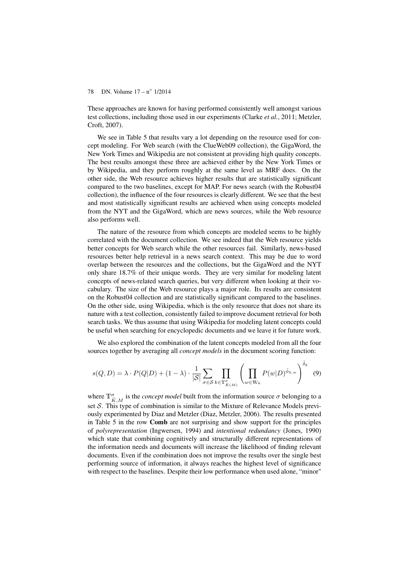These approaches are known for having performed consistently well amongst various test collections, including those used in our experiments (Clarke *et al.*, 2011; Metzler, Croft, 2007).

We see in Table 5 that results vary a lot depending on the resource used for concept modeling. For Web search (with the ClueWeb09 collection), the GigaWord, the New York Times and Wikipedia are not consistent at providing high quality concepts. The best results amongst these three are achieved either by the New York Times or by Wikipedia, and they perform roughly at the same level as MRF does. On the other side, the Web resource achieves higher results that are statistically significant compared to the two baselines, except for MAP. For news search (with the Robust04 collection), the influence of the four resources is clearly different. We see that the best and most statistically significant results are achieved when using concepts modeled from the NYT and the GigaWord, which are news sources, while the Web resource also performs well.

The nature of the resource from which concepts are modeled seems to be highly correlated with the document collection. We see indeed that the Web resource yields better concepts for Web search while the other resources fail. Similarly, news-based resources better help retrieval in a news search context. This may be due to word overlap between the resources and the collections, but the GigaWord and the NYT only share 18.7% of their unique words. They are very similar for modeling latent concepts of news-related search queries, but very different when looking at their vocabulary. The size of the Web resource plays a major role. Its results are consistent on the Robust04 collection and are statistically significant compared to the baselines. On the other side, using Wikipedia, which is the only resource that does not share its nature with a test collection, consistently failed to improve document retrieval for both search tasks. We thus assume that using Wikipedia for modeling latent concepts could be useful when searching for encyclopedic documents and we leave it for future work.

We also explored the combination of the latent concepts modeled from all the four sources together by averaging all *concept models* in the document scoring function:

$$
s(Q, D) = \lambda \cdot P(Q|D) + (1 - \lambda) \cdot \frac{1}{|\mathcal{S}|} \sum_{\sigma \in \mathcal{S}} \prod_{k \in \mathbb{T}_{K(M)}^{\sigma}} \left( \prod_{w \in \mathbb{W}_k} P(w|D)^{\hat{\phi}_{k,w}} \right)^{\hat{\delta}_k} \tag{9}
$$

where  $\mathbb{T}^{\sigma}_{\hat{K},M}$  is the *concept model* built from the information source  $\sigma$  belonging to a set  $S$ . This type of combination is similar to the Mixture of Relevance Models previously experimented by Diaz and Metzler (Diaz, Metzler, 2006). The results presented in Table 5 in the row Comb are not surprising and show support for the principles of *polyrepresentation* (Ingwersen, 1994) and *intentional redundancy* (Jones, 1990) which state that combining cognitively and structurally different representations of the information needs and documents will increase the likelihood of finding relevant documents. Even if the combination does not improve the results over the single best performing source of information, it always reaches the highest level of significance with respect to the baselines. Despite their low performance when used alone, "minor"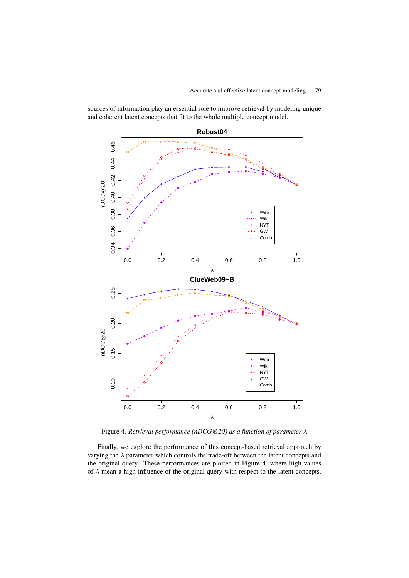**Robust04** 0.46 0.34 0.36 0.38 0.40 0.42 0.44 0.46  $0.44$ 0.40 0.42 nDCG@20 nDCG@20 0.38 Web Wiki NYT 0.36 GW Comb  $0.34$ 0.0 0.2 0.4 0.6 0.8 1.0 λ **ClueWeb09−B** 0.25 0.10 0.15 0.20 0.25 0.20 nDCG@20 nDCG@20 0.15 Web Wiki NYT  $0.10$ GW Comb 0.0 0.2 0.4 0.6 0.8 1.0 λ

sources of information play an essential role to improve retrieval by modeling unique and coherent latent concepts that fit to the whole multiple concept model.

Figure 4. *Retrieval performance (nDCG@20) as a function of parameter* λ

Finally, we explore the performance of this concept-based retrieval approach by varying the  $\lambda$  parameter which controls the trade-off between the latent concepts and the original query. These performances are plotted in Figure 4, where high values of  $\lambda$  mean a high influence of the original query with respect to the latent concepts.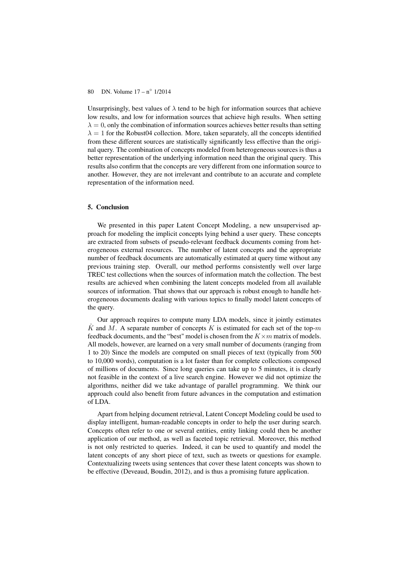Unsurprisingly, best values of  $\lambda$  tend to be high for information sources that achieve low results, and low for information sources that achieve high results. When setting  $\lambda = 0$ , only the combination of information sources achieves better results than setting  $\lambda = 1$  for the Robust04 collection. More, taken separately, all the concepts identified from these different sources are statistically significantly less effective than the original query. The combination of concepts modeled from heterogeneous sources is thus a better representation of the underlying information need than the original query. This results also confirm that the concepts are very different from one information source to another. However, they are not irrelevant and contribute to an accurate and complete representation of the information need.

# 5. Conclusion

We presented in this paper Latent Concept Modeling, a new unsupervised approach for modeling the implicit concepts lying behind a user query. These concepts are extracted from subsets of pseudo-relevant feedback documents coming from heterogeneous external resources. The number of latent concepts and the appropriate number of feedback documents are automatically estimated at query time without any previous training step. Overall, our method performs consistently well over large TREC test collections when the sources of information match the collection. The best results are achieved when combining the latent concepts modeled from all available sources of information. That shows that our approach is robust enough to handle heterogeneous documents dealing with various topics to finally model latent concepts of the query.

Our approach requires to compute many LDA models, since it jointly estimates  $\hat{K}$  and M. A separate number of concepts K is estimated for each set of the top-m feedback documents, and the "best" model is chosen from the  $K \times m$  matrix of models. All models, however, are learned on a very small number of documents (ranging from 1 to 20) Since the models are computed on small pieces of text (typically from 500 to 10,000 words), computation is a lot faster than for complete collections composed of millions of documents. Since long queries can take up to 5 minutes, it is clearly not feasible in the context of a live search engine. However we did not optimize the algorithms, neither did we take advantage of parallel programming. We think our approach could also benefit from future advances in the computation and estimation of LDA.

Apart from helping document retrieval, Latent Concept Modeling could be used to display intelligent, human-readable concepts in order to help the user during search. Concepts often refer to one or several entities, entity linking could then be another application of our method, as well as faceted topic retrieval. Moreover, this method is not only restricted to queries. Indeed, it can be used to quantify and model the latent concepts of any short piece of text, such as tweets or questions for example. Contextualizing tweets using sentences that cover these latent concepts was shown to be effective (Deveaud, Boudin, 2012), and is thus a promising future application.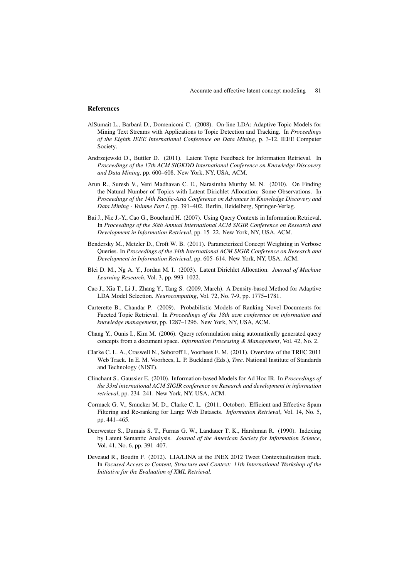#### References

- AlSumait L., Barbará D., Domeniconi C. (2008). On-line LDA: Adaptive Topic Models for Mining Text Streams with Applications to Topic Detection and Tracking. In *Proceedings of the Eighth IEEE International Conference on Data Mining*, p. 3-12. IEEE Computer Society.
- Andrzejewski D., Buttler D. (2011). Latent Topic Feedback for Information Retrieval. In *Proceedings of the 17th ACM SIGKDD International Conference on Knowledge Discovery and Data Mining*, pp. 600–608. New York, NY, USA, ACM.
- Arun R., Suresh V., Veni Madhavan C. E., Narasimha Murthy M. N. (2010). On Finding the Natural Number of Topics with Latent Dirichlet Allocation: Some Observations. In *Proceedings of the 14th Pacific-Asia Conference on Advances in Knowledge Discovery and Data Mining - Volume Part I*, pp. 391–402. Berlin, Heidelberg, Springer-Verlag.
- Bai J., Nie J.-Y., Cao G., Bouchard H. (2007). Using Query Contexts in Information Retrieval. In *Proceedings of the 30th Annual International ACM SIGIR Conference on Research and Development in Information Retrieval*, pp. 15–22. New York, NY, USA, ACM.
- Bendersky M., Metzler D., Croft W. B. (2011). Parameterized Concept Weighting in Verbose Queries. In *Proceedings of the 34th International ACM SIGIR Conference on Research and Development in Information Retrieval*, pp. 605–614. New York, NY, USA, ACM.
- Blei D. M., Ng A. Y., Jordan M. I. (2003). Latent Dirichlet Allocation. *Journal of Machine Learning Research*, Vol. 3, pp. 993–1022.
- Cao J., Xia T., Li J., Zhang Y., Tang S. (2009, March). A Density-based Method for Adaptive LDA Model Selection. *Neurocomputing*, Vol. 72, No. 7-9, pp. 1775–1781.
- Carterette B., Chandar P. (2009). Probabilistic Models of Ranking Novel Documents for Faceted Topic Retrieval. In *Proceedings of the 18th acm conference on information and knowledge management*, pp. 1287–1296. New York, NY, USA, ACM.
- Chang Y., Ounis I., Kim M. (2006). Query reformulation using automatically generated query concepts from a document space. *Information Processing & Management*, Vol. 42, No. 2.
- Clarke C. L. A., Craswell N., Soboroff I., Voorhees E. M. (2011). Overview of the TREC 2011 Web Track. In E. M. Voorhees, L. P. Buckland (Eds.), *Trec.* National Institute of Standards and Technology (NIST).
- Clinchant S., Gaussier E. (2010). Information-based Models for Ad Hoc IR. In *Proceedings of the 33rd international ACM SIGIR conference on Research and development in information retrieval*, pp. 234–241. New York, NY, USA, ACM.
- Cormack G. V., Smucker M. D., Clarke C. L. (2011, October). Efficient and Effective Spam Filtering and Re-ranking for Large Web Datasets. *Information Retrieval*, Vol. 14, No. 5, pp. 441–465.
- Deerwester S., Dumais S. T., Furnas G. W., Landauer T. K., Harshman R. (1990). Indexing by Latent Semantic Analysis. *Journal of the American Society for Information Science*, Vol. 41, No. 6, pp. 391–407.
- Deveaud R., Boudin F. (2012). LIA/LINA at the INEX 2012 Tweet Contextualization track. In *Focused Access to Content, Structure and Context: 11th International Workshop of the Initiative for the Evaluation of XML Retrieval.*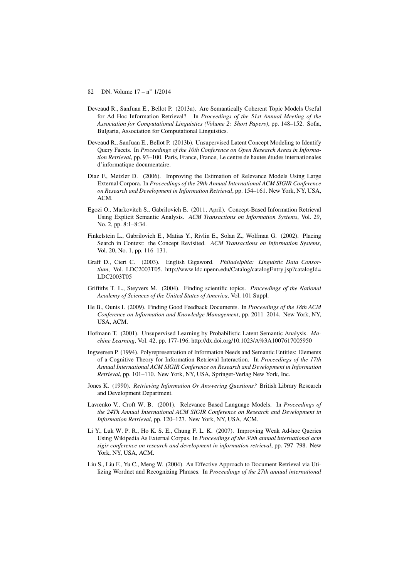- 82 DN. Volume 17 n◦ 1/2014
- Deveaud R., SanJuan E., Bellot P. (2013a). Are Semantically Coherent Topic Models Useful for Ad Hoc Information Retrieval? In *Proceedings of the 51st Annual Meeting of the Association for Computational Linguistics (Volume 2: Short Papers)*, pp. 148–152. Sofia, Bulgaria, Association for Computational Linguistics.
- Deveaud R., SanJuan E., Bellot P. (2013b). Unsupervised Latent Concept Modeling to Identify Query Facets. In *Proceedings of the 10th Conference on Open Research Areas in Information Retrieval*, pp. 93–100. Paris, France, France, Le centre de hautes études internationales d'informatique documentaire.
- Diaz F., Metzler D. (2006). Improving the Estimation of Relevance Models Using Large External Corpora. In *Proceedings of the 29th Annual International ACM SIGIR Conference on Research and Development in Information Retrieval*, pp. 154–161. New York, NY, USA, ACM.
- Egozi O., Markovitch S., Gabrilovich E. (2011, April). Concept-Based Information Retrieval Using Explicit Semantic Analysis. *ACM Transactions on Information Systems*, Vol. 29, No. 2, pp. 8:1–8:34.
- Finkelstein L., Gabrilovich E., Matias Y., Rivlin E., Solan Z., Wolfman G. (2002). Placing Search in Context: the Concept Revisited. *ACM Transactions on Information Systems*, Vol. 20, No. 1, pp. 116–131.
- Graff D., Cieri C. (2003). English Gigaword. *Philadelphia: Linguistic Data Consortium*, Vol. LDC2003T05. http://www.ldc.upenn.edu/Catalog/catalogEntry.jsp?catalogId= LDC2003T05
- Griffiths T. L., Steyvers M. (2004). Finding scientific topics. *Proceedings of the National Academy of Sciences of the United States of America*, Vol. 101 Suppl.
- He B., Ounis I. (2009). Finding Good Feedback Documents. In *Proceedings of the 18th ACM Conference on Information and Knowledge Management*, pp. 2011–2014. New York, NY, USA, ACM.
- Hofmann T. (2001). Unsupervised Learning by Probabilistic Latent Semantic Analysis. *Machine Learning*, Vol. 42, pp. 177-196. http://dx.doi.org/10.1023/A%3A1007617005950
- Ingwersen P. (1994). Polyrepresentation of Information Needs and Semantic Entities: Elements of a Cognitive Theory for Information Retrieval Interaction. In *Proceedings of the 17th Annual International ACM SIGIR Conference on Research and Development in Information Retrieval*, pp. 101–110. New York, NY, USA, Springer-Verlag New York, Inc.
- Jones K. (1990). *Retrieving Information Or Answering Questions?* British Library Research and Development Department.
- Lavrenko V., Croft W. B. (2001). Relevance Based Language Models. In *Proceedings of the 24Th Annual International ACM SIGIR Conference on Research and Development in Information Retrieval*, pp. 120–127. New York, NY, USA, ACM.
- Li Y., Luk W. P. R., Ho K. S. E., Chung F. L. K. (2007). Improving Weak Ad-hoc Queries Using Wikipedia As External Corpus. In *Proceedings of the 30th annual international acm sigir conference on research and development in information retrieval*, pp. 797–798. New York, NY, USA, ACM.
- Liu S., Liu F., Yu C., Meng W. (2004). An Effective Approach to Document Retrieval via Utilizing Wordnet and Recognizing Phrases. In *Proceedings of the 27th annual international*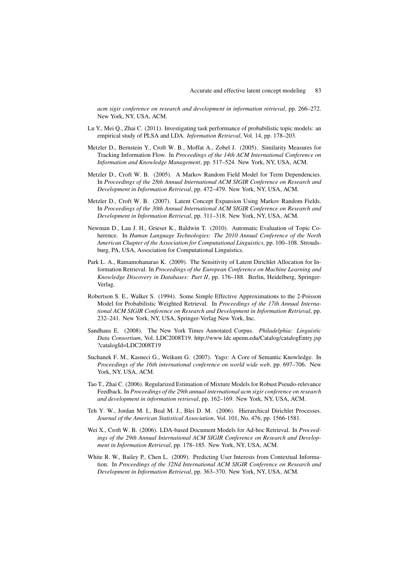*acm sigir conference on research and development in information retrieval*, pp. 266–272. New York, NY, USA, ACM.

- Lu Y., Mei Q., Zhai C. (2011). Investigating task performance of probabilistic topic models: an empirical study of PLSA and LDA. *Information Retrieval*, Vol. 14, pp. 178–203.
- Metzler D., Bernstein Y., Croft W. B., Moffat A., Zobel J. (2005). Similarity Measures for Tracking Information Flow. In *Proceedings of the 14th ACM International Conference on Information and Knowledge Management*, pp. 517–524. New York, NY, USA, ACM.
- Metzler D., Croft W. B. (2005). A Markov Random Field Model for Term Dependencies. In *Proceedings of the 28th Annual International ACM SIGIR Conference on Research and Development in Information Retrieval*, pp. 472–479. New York, NY, USA, ACM.
- Metzler D., Croft W. B. (2007). Latent Concept Expansion Using Markov Random Fields. In *Proceedings of the 30th Annual International ACM SIGIR Conference on Research and Development in Information Retrieval*, pp. 311–318. New York, NY, USA, ACM.
- Newman D., Lau J. H., Grieser K., Baldwin T. (2010). Automatic Evaluation of Topic Coherence. In *Human Language Technologies: The 2010 Annual Conference of the North American Chapter of the Association for Computational Linguistics*, pp. 100–108. Stroudsburg, PA, USA, Association for Computational Linguistics.
- Park L. A., Ramamohanarao K. (2009). The Sensitivity of Latent Dirichlet Allocation for Information Retrieval. In *Proceedings of the European Conference on Machine Learning and Knowledge Discovery in Databases: Part II*, pp. 176–188. Berlin, Heidelberg, Springer-Verlag.
- Robertson S. E., Walker S. (1994). Some Simple Effective Approximations to the 2-Poisson Model for Probabilistic Weighted Retrieval. In *Proceedings of the 17th Annual International ACM SIGIR Conference on Research and Development in Information Retrieval*, pp. 232–241. New York, NY, USA, Springer-Verlag New York, Inc.
- Sandhaus E. (2008). The New York Times Annotated Corpus. *Philadelphia: Linguistic Data Consortium*, Vol. LDC2008T19. http://www.ldc.upenn.edu/Catalog/catalogEntry.jsp ?catalogId=LDC2008T19
- Suchanek F. M., Kasneci G., Weikum G. (2007). Yago: A Core of Semantic Knowledge. In *Proceedings of the 16th international conference on world wide web*, pp. 697–706. New York, NY, USA, ACM.
- Tao T., Zhai C. (2006). Regularized Estimation of Mixture Models for Robust Pseudo-relevance Feedback. In *Proceedings of the 29th annual international acm sigir conference on research and development in information retrieval*, pp. 162–169. New York, NY, USA, ACM.
- Teh Y. W., Jordan M. I., Beal M. J., Blei D. M. (2006). Hierarchical Dirichlet Processes. *Journal of the American Statistical Association*, Vol. 101, No. 476, pp. 1566-1581.
- Wei X., Croft W. B. (2006). LDA-based Document Models for Ad-hoc Retrieval. In *Proceedings of the 29th Annual International ACM SIGIR Conference on Research and Development in Information Retrieval*, pp. 178–185. New York, NY, USA, ACM.
- White R. W., Bailey P., Chen L. (2009). Predicting User Interests from Contextual Information. In *Proceedings of the 32Nd International ACM SIGIR Conference on Research and Development in Information Retrieval*, pp. 363–370. New York, NY, USA, ACM.